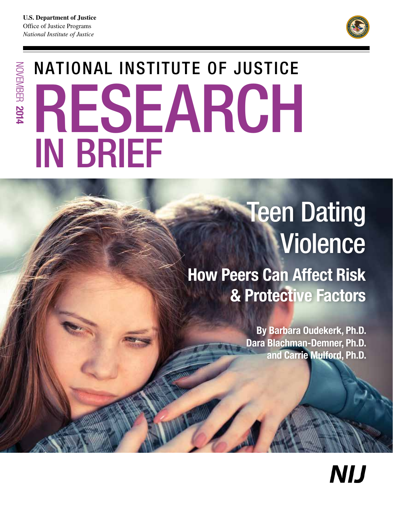NOVEMBER NOVEMBER 2014



# NATIONAL INSTITUTE OF JUSTICE RESEARCH IN BRIEF

### **Teen Dating Violence** How Peers Can Affect Risk & Protective Factors

By Barbara Oudekerk, Ph.D. Dara Blachman-Demner, Ph.D. and Carrie Mulford, Ph.D.

**NIJ**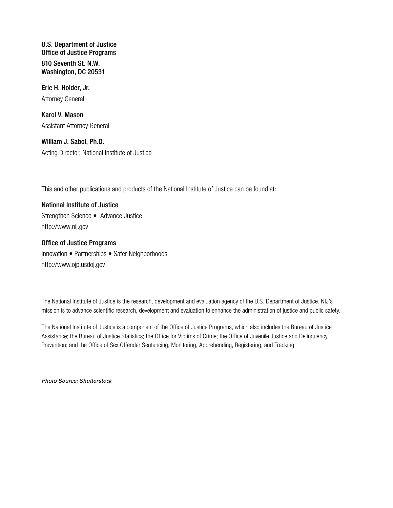U.S. Department of Justice Office of Justice Programs 810 Seventh St. N.W. Washington, DC 20531

Eric H. Holder, Jr. Attorney General

Karol V. Mason Assistant Attorney General

William J. Sabol, Ph.D. Acting Director, National Institute of Justice

This and other publications and products of the National Institute of Justice can be found at:

National Institute of Justice Strengthen Science • Advance Justice <http://www.nij.gov>

Office of Justice Programs Innovation • Partnerships • Safer Neighborhoods <http://www.ojp.usdoj.gov>

The National Institute of Justice is the research, development and evaluation agency of the U.S. Department of Justice. NIJ's mission is to advance scientific research, development and evaluation to enhance the administration of justice and public safety.

The National Institute of Justice is a component of the Office of Justice Programs, which also includes the Bureau of Justice Assistance; the Bureau of Justice Statistics; the Office for Victims of Crime; the Office of Juvenile Justice and Delinquency Prevention; and the Office of Sex Offender Sentencing, Monitoring, Apprehending, Registering, and Tracking.

*Photo Source: Shutterstock*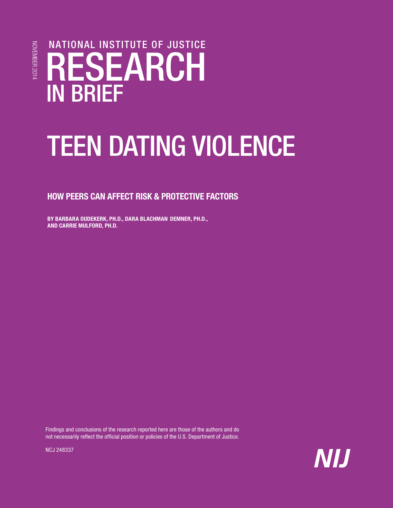NOVEMBER 2014 NOVEMBER 2014

### R ESEARCH NATIONAL INSTITUTE OF JUSTICE IN BRIEF

## TEEN DATING VIOLENCE

#### HOW PEERS CAN AFFECT RISK & PROTECTIVE FACTORS

- BY BARBARA OUDEKERK, PH.D., DARA BLACHMAN DEMNER, PH.D., AND CARRIE MULFORD, PH.D.

Findings and conclusions of the research reported here are those of the authors and do not necessarily reflect the official position or policies of the U.S. Department of Justice.



NCJ 248337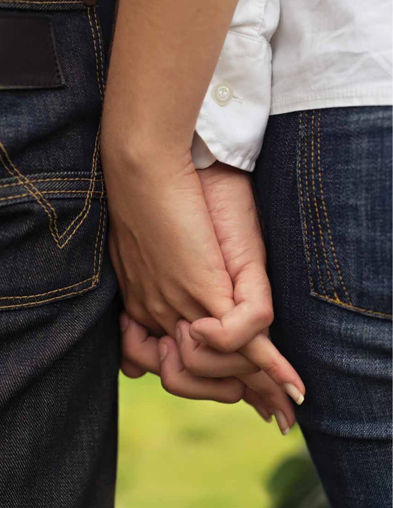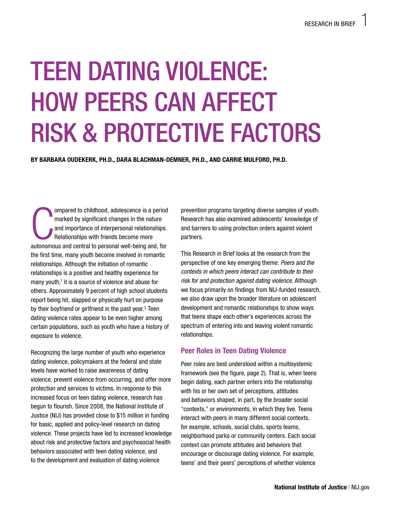## TEEN DATING VIOLENCE: HOW PEERS CAN AFFECT RISK & PROTECTIVE FACTORS

BY BARBARA OUDEKERK, PH.D., DARA BLACHMAN-DEMNER, PH.D., AND CARRIE MULFORD, PH.D.

ompared to childhood, adolescence is a period<br>marked by significant changes in the nature<br>and importance of interpersonal relationships.<br>Relationships with friends become more<br>autonomous and central to personal well-being ompared to childhood, adolescence is a period marked by significant changes in the nature and importance of interpersonal relationships. Relationships with friends become more the first time, many youth become involved in romantic relationships. Although the initiation of romantic relationships is a positive and healthy experience for many youth,<sup>1</sup> it is a source of violence and abuse for others. Approximately 9 percent of high school students report being hit, slapped or physically hurt on purpose by their boyfriend or girlfriend in the past year.<sup>2</sup> Teen dating violence rates appear to be even higher among certain populations, such as youth who have a history of exposure to violence.

Recognizing the large number of youth who experience dating violence, policymakers at the federal and state levels have worked to raise awareness of dating violence, prevent violence from occurring, and offer more protection and services to victims. In response to this increased focus on teen dating violence, research has begun to flourish. Since 2008, the National Institute of Justice (NIJ) has provided close to \$15 million in funding for basic, applied and policy-level research on dating violence. These projects have led to increased knowledge about risk and protective factors and psychosocial health behaviors associated with teen dating violence, and to the development and evaluation of dating violence

prevention programs targeting diverse samples of youth. Research has also examined adolescents' knowledge of and barriers to using protection orders against violent partners.

This Research in Brief looks at the research from the perspective of one key emerging theme: *Peers and the contexts in which peers interact can contribute to their risk for and protection against dating violence.* Although we focus primarily on findings from NIJ-funded research, we also draw upon the broader literature on adolescent development and romantic relationships to show ways that teens shape each other's experiences across the spectrum of entering into and leaving violent romantic relationships.

#### Peer Roles in Teen Dating Violence

Peer roles are best understood within a multisystemic framework (see the figure, page 2). That is, when teens begin dating, each partner enters into the relationship with his or her own set of perceptions, attitudes and behaviors shaped, in part, by the broader social "contexts," or environments, in which they live. Teens interact with peers in many different social contexts, for example, schools, social clubs, sports teams, neighborhood parks or community centers. Each social context can promote attitudes and behaviors that encourage or discourage dating violence. For example, teens' and their peers' perceptions of whether violence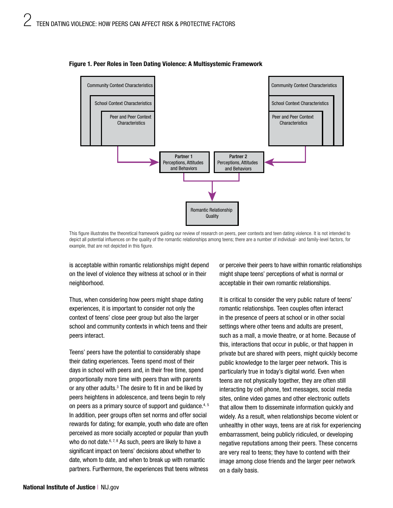

#### Figure 1. Peer Roles in Teen Dating Violence: A Multisystemic Framework

This figure illustrates the theoretical framework guiding our review of research on peers, peer contexts and teen dating violence. It is not intended to depict all potential influences on the quality of the romantic relationships among teens; there are a number of individual- and family-level factors, for example, that are not depicted in this figure.

neighborhood. is acceptable within romantic relationships might depend on the level of violence they witness at school or in their

Thus, when considering how peers might shape dating experiences, it is important to consider not only the context of teens' close peer group but also the larger school and community contexts in which teens and their peers interact.

 rewards for dating; for example, youth who date are often Teens' peers have the potential to considerably shape their dating experiences. Teens spend most of their days in school with peers and, in their free time, spend proportionally more time with peers than with parents or any other adults.<sup>3</sup> The desire to fit in and be liked by peers heightens in adolescence, and teens begin to rely on peers as a primary source of support and quidance.<sup>4, 5</sup> In addition, peer groups often set norms and offer social perceived as more socially accepted or popular than youth who do not date.<sup>6, 7, 8</sup> As such, peers are likely to have a significant impact on teens' decisions about whether to date, whom to date, and when to break up with romantic partners. Furthermore, the experiences that teens witness

or perceive their peers to have within romantic relationships might shape teens' perceptions of what is normal or acceptable in their own romantic relationships.

It is critical to consider the very public nature of teens' romantic relationships. Teen couples often interact in the presence of peers at school or in other social settings where other teens and adults are present, such as a mall, a movie theatre, or at home. Because of this, interactions that occur in public, or that happen in private but are shared with peers, might quickly become public knowledge to the larger peer network. This is particularly true in today's digital world. Even when teens are not physically together, they are often still interacting by cell phone, text messages, social media sites, online video games and other electronic outlets that allow them to disseminate information quickly and widely. As a result, when relationships become violent or unhealthy in other ways, teens are at risk for experiencing embarrassment, being publicly ridiculed, or developing negative reputations among their peers. These concerns are very real to teens; they have to contend with their image among close friends and the larger peer network on a daily basis.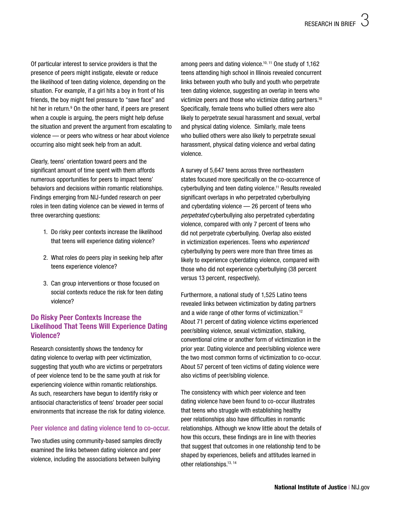Of particular interest to service providers is that the presence of peers might instigate, elevate or reduce the likelihood of teen dating violence, depending on the situation. For example, if a girl hits a boy in front of his friends, the boy might feel pressure to "save face" and hit her in return.<sup>9</sup> On the other hand, if peers are present when a couple is arguing, the peers might help defuse the situation and prevent the argument from escalating to violence — or peers who witness or hear about violence occurring also might seek help from an adult.

Clearly, teens' orientation toward peers and the significant amount of time spent with them affords numerous opportunities for peers to impact teens' behaviors and decisions within romantic relationships. Findings emerging from NIJ-funded research on peer roles in teen dating violence can be viewed in terms of three overarching questions:

- 1. Do risky peer contexts increase the likelihood that teens will experience dating violence?
- 2. What roles do peers play in seeking help after teens experience violence?
- 3. Can group interventions or those focused on social contexts reduce the risk for teen dating violence?

#### Do Risky Peer Contexts Increase the Likelihood That Teens Will Experience Dating Violence?

Research consistently shows the tendency for dating violence to overlap with peer victimization, suggesting that youth who are victims or perpetrators of peer violence tend to be the same youth at risk for experiencing violence within romantic relationships. As such, researchers have begun to identify risky or antisocial characteristics of teens' broader peer social environments that increase the risk for dating violence.

#### Peer violence and dating violence tend to co-occur.

Two studies using community-based samples directly examined the links between dating violence and peer violence, including the associations between bullying

among peers and dating violence.<sup>10, 11</sup> One study of 1,162 teens attending high school in Illinois revealed concurrent links between youth who bully and youth who perpetrate teen dating violence, suggesting an overlap in teens who victimize peers and those who victimize dating partners.10 Specifically, female teens who bullied others were also likely to perpetrate sexual harassment and sexual, verbal and physical dating violence. Similarly, male teens who bullied others were also likely to perpetrate sexual harassment, physical dating violence and verbal dating violence.

A survey of 5,647 teens across three northeastern states focused more specifically on the co-occurrence of cyberbullying and teen dating violence.11 Results revealed significant overlaps in who perpetrated cyberbullying and cyberdating violence — 26 percent of teens who *perpetrated* cyberbullying also perpetrated cyberdating violence, compared with only 7 percent of teens who did not perpetrate cyberbullying. Overlap also existed in victimization experiences. Teens who *experienced*  cyberbullying by peers were more than three times as likely to experience cyberdating violence, compared with those who did not experience cyberbullying (38 percent versus 13 percent, respectively).

Furthermore, a national study of 1,525 Latino teens revealed links between victimization by dating partners and a wide range of other forms of victimization.12 About 71 percent of dating violence victims experienced peer/sibling violence, sexual victimization, stalking, conventional crime or another form of victimization in the prior year. Dating violence and peer/sibling violence were the two most common forms of victimization to co-occur. About 57 percent of teen victims of dating violence were also victims of peer/sibling violence.

The consistency with which peer violence and teen dating violence have been found to co-occur illustrates that teens who struggle with establishing healthy peer relationships also have difficulties in romantic relationships. Although we know little about the details of how this occurs, these findings are in line with theories that suggest that outcomes in one relationship tend to be shaped by experiences, beliefs and attitudes learned in other relationships.<sup>13, 14</sup>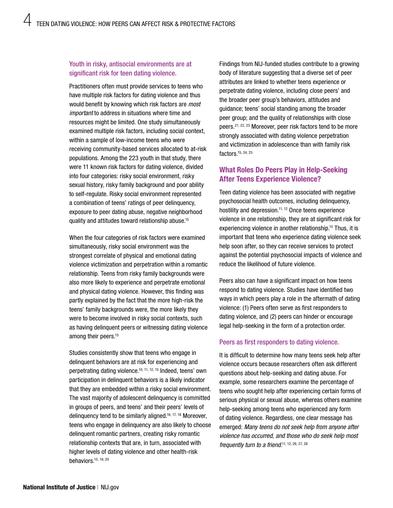#### Youth in risky, antisocial environments are at significant risk for teen dating violence.

Practitioners often must provide services to teens who have multiple risk factors for dating violence and thus would benefit by knowing which risk factors are *most important* to address in situations where time and resources might be limited. One study simultaneously examined multiple risk factors, including social context, within a sample of low-income teens who were receiving community-based services allocated to at-risk populations. Among the 223 youth in that study, there were 11 known risk factors for dating violence, divided into four categories: risky social environment, risky sexual history, risky family background and poor ability to self-regulate. Risky social environment represented a combination of teens' ratings of peer delinquency, exposure to peer dating abuse, negative neighborhood quality and attitudes toward relationship abuse.15

When the four categories of risk factors were examined simultaneously, risky social environment was the strongest correlate of physical and emotional dating violence victimization and perpetration within a romantic relationship. Teens from risky family backgrounds were also more likely to experience and perpetrate emotional and physical dating violence. However, this finding was partly explained by the fact that the more high-risk the teens' family backgrounds were, the more likely they were to become involved in risky social contexts, such as having delinquent peers or witnessing dating violence among their peers.15

Studies consistently show that teens who engage in delinquent behaviors are at risk for experiencing and perpetrating dating violence.10, 11, 12, 15 Indeed, teens' own participation in delinquent behaviors is a likely indicator that they are embedded within a risky social environment. The vast majority of adolescent delinquency is committed in groups of peers, and teens' and their peers' levels of delinquency tend to be similarly aligned.16, 17, 18 Moreover, teens who engage in delinquency are also likely to choose delinquent romantic partners, creating risky romantic relationship contexts that are, in turn, associated with higher levels of dating violence and other health-risk behaviors.15, 19, 20

Findings from NIJ-funded studies contribute to a growing body of literature suggesting that a diverse set of peer attributes are linked to whether teens experience or perpetrate dating violence, including close peers' and the broader peer group's behaviors, attitudes and guidance; teens' social standing among the broader peer group; and the quality of relationships with close peers.21, 22, 23 Moreover, peer risk factors tend to be more strongly associated with dating violence perpetration and victimization in adolescence than with family risk factors.15, 24, 25

#### What Roles Do Peers Play in Help-Seeking After Teens Experience Violence?

Teen dating violence has been associated with negative psychosocial health outcomes, including delinquency, hostility and depression.<sup>11, 12</sup> Once teens experience violence in one relationship, they are at significant risk for experiencing violence in another relationship.<sup>15</sup> Thus, it is important that teens who experience dating violence seek help soon after, so they can receive services to protect against the potential psychosocial impacts of violence and reduce the likelihood of future violence.

Peers also can have a significant impact on how teens respond to dating violence. Studies have identified two ways in which peers play a role in the aftermath of dating violence: (1) Peers often serve as first responders to dating violence, and (2) peers can hinder or encourage legal help-seeking in the form of a protection order.

#### Peers as first responders to dating violence.

It is difficult to determine how many teens seek help after violence occurs because researchers often ask different questions about help-seeking and dating abuse. For example, some researchers examine the percentage of teens who sought help after experiencing certain forms of serious physical or sexual abuse, whereas others examine help-seeking among teens who experienced any form of dating violence. Regardless, one clear message has emerged: *Many teens do not seek help from anyone after violence has occurred, and those who do seek help most frequently turn to a friend.*11, 12, 26, 27, 28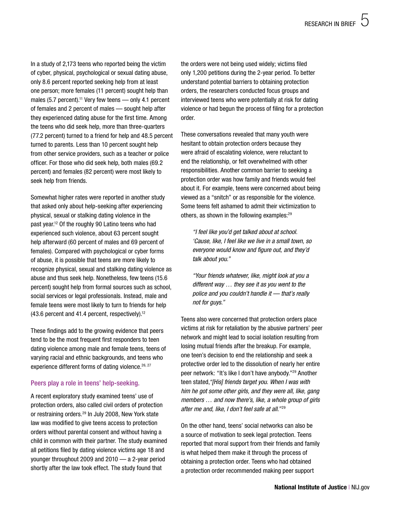In a study of 2,173 teens who reported being the victim of cyber, physical, psychological or sexual dating abuse, only 8.6 percent reported seeking help from at least one person; more females (11 percent) sought help than males  $(5.7$  percent).<sup>11</sup> Very few teens — only 4.1 percent of females and 2 percent of males — sought help after they experienced dating abuse for the first time. Among the teens who did seek help, more than three-quarters (77.2 percent) turned to a friend for help and 48.5 percent turned to parents. Less than 10 percent sought help from other service providers, such as a teacher or police officer. For those who did seek help, both males (69.2 percent) and females (82 percent) were most likely to seek help from friends.

Somewhat higher rates were reported in another study that asked only about help-seeking after experiencing physical, sexual or stalking dating violence in the past year.12 Of the roughly 90 Latino teens who had experienced such violence, about 63 percent sought help afterward (60 percent of males and 69 percent of females). Compared with psychological or cyber forms of abuse, it is possible that teens are more likely to recognize physical, sexual and stalking dating violence as abuse and thus seek help. Nonetheless, few teens (15.6 percent) sought help from formal sources such as school, social services or legal professionals. Instead, male and female teens were most likely to turn to friends for help (43.6 percent and 41.4 percent, respectively).12

These findings add to the growing evidence that peers tend to be the most frequent first responders to teen dating violence among male and female teens, teens of varying racial and ethnic backgrounds, and teens who experience different forms of dating violence.<sup>26, 27</sup>

#### Peers play a role in teens' help-seeking.

A recent exploratory study examined teens' use of protection orders, also called civil orders of protection or restraining orders.<sup>29</sup> In July 2008, New York state law was modified to give teens access to protection orders without parental consent and without having a child in common with their partner. The study examined all petitions filed by dating violence victims age 18 and younger throughout 2009 and 2010 — a 2-year period shortly after the law took effect. The study found that

the orders were not being used widely; victims filed only 1,200 petitions during the 2-year period. To better understand potential barriers to obtaining protection orders, the researchers conducted focus groups and interviewed teens who were potentially at risk for dating violence or had begun the process of filing for a protection order.

These conversations revealed that many youth were hesitant to obtain protection orders because they were afraid of escalating violence, were reluctant to end the relationship, or felt overwhelmed with other responsibilities. Another common barrier to seeking a protection order was how family and friends would feel about it. For example, teens were concerned about being viewed as a "snitch" or as responsible for the violence. Some teens felt ashamed to admit their victimization to others, as shown in the following examples:<sup>29</sup>

*"I feel like you'd get talked about at school. 'Cause, like, I feel like we live in a small town, so everyone would know and figure out, and they'd talk about you."* 

*"Your friends whatever, like, might look at you a different way … they see it as you went to the police and you couldn't handle it — that's really not for guys."* 

Teens also were concerned that protection orders place victims at risk for retaliation by the abusive partners' peer network and might lead to social isolation resulting from losing mutual friends after the breakup. For example, one teen's decision to end the relationship and seek a protective order led to the dissolution of nearly her entire peer network: "It's like I don't have anybody."29 Another teen stated,*"[His] friends target you. When I was with him he got some other girls, and they were all, like, gang members … and now there's, like, a whole group of girls after me and, like, I don't feel safe at all."* <sup>29</sup>

On the other hand, teens' social networks can also be a source of motivation to seek legal protection. Teens reported that moral support from their friends and family is what helped them make it through the process of obtaining a protection order. Teens who had obtained a protection order recommended making peer support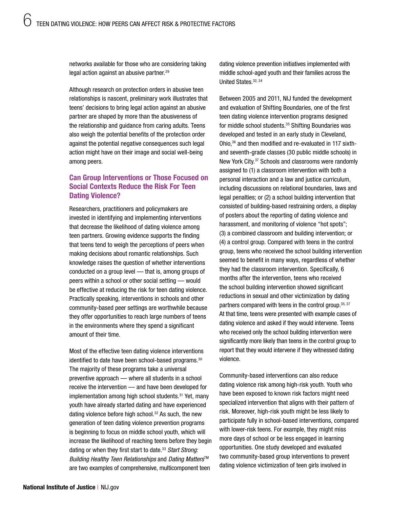networks available for those who are considering taking legal action against an abusive partner.<sup>29</sup>

Although research on protection orders in abusive teen relationships is nascent, preliminary work illustrates that teens' decisions to bring legal action against an abusive partner are shaped by more than the abusiveness of the relationship and guidance from caring adults. Teens also weigh the potential benefits of the protection order against the potential negative consequences such legal action might have on their image and social well-being among peers.

#### Can Group Interventions or Those Focused on Social Contexts Reduce the Risk For Teen Dating Violence?

Researchers, practitioners and policymakers are invested in identifying and implementing interventions that decrease the likelihood of dating violence among teen partners. Growing evidence supports the finding that teens tend to weigh the perceptions of peers when making decisions about romantic relationships. Such knowledge raises the question of whether interventions conducted on a group level — that is, among groups of peers within a school or other social setting — would be effective at reducing the risk for teen dating violence. Practically speaking, interventions in schools and other community-based peer settings are worthwhile because they offer opportunities to reach large numbers of teens in the environments where they spend a significant amount of their time.

 are two examples of comprehensive, multicomponent teen Most of the effective teen dating violence interventions identified to date have been school-based programs.<sup>30</sup> The majority of these programs take a universal preventive approach — where all students in a school receive the intervention — and have been developed for implementation among high school students.<sup>31</sup> Yet, many youth have already started dating and have experienced dating violence before high school.<sup>32</sup> As such, the new generation of teen dating violence prevention programs is beginning to focus on middle school youth, which will increase the likelihood of reaching teens before they begin dating or when they first start to date.33 *Start Strong: Building Healthy Teen Relationships* and *Dating Matters*<sup>™</sup>

dating violence prevention initiatives implemented with middle school-aged youth and their families across the United States.32, 34

Between 2005 and 2011, NIJ funded the development and evaluation of Shifting Boundaries, one of the first teen dating violence intervention programs designed for middle school students.35 Shifting Boundaries was developed and tested in an early study in Cleveland, Ohio,36 and then modified and re-evaluated in 117 sixthand seventh-grade classes (30 public middle schools) in New York City.37 Schools and classrooms were randomly assigned to (1) a classroom intervention with both a personal interaction and a law and justice curriculum, including discussions on relational boundaries, laws and legal penalties; or (2) a school building intervention that consisted of building-based restraining orders, a display of posters about the reporting of dating violence and harassment, and monitoring of violence "hot spots"; (3) a combined classroom and building intervention; or (4) a control group. Compared with teens in the control group, teens who received the school building intervention seemed to benefit in many ways, regardless of whether they had the classroom intervention. Specifically, 6 months after the intervention, teens who received the school building intervention showed significant reductions in sexual and other victimization by dating partners compared with teens in the control group. 35, 37 At that time, teens were presented with example cases of dating violence and asked if they would intervene. Teens who received only the school building intervention were significantly more likely than teens in the control group to report that they would intervene if they witnessed dating violence.

Community-based interventions can also reduce dating violence risk among high-risk youth. Youth who have been exposed to known risk factors might need specialized intervention that aligns with their pattern of risk. Moreover, high-risk youth might be less likely to participate fully in school-based interventions, compared with lower-risk teens. For example, they might miss more days of school or be less engaged in learning opportunities. One study developed and evaluated two community-based group interventions to prevent dating violence victimization of teen girls involved in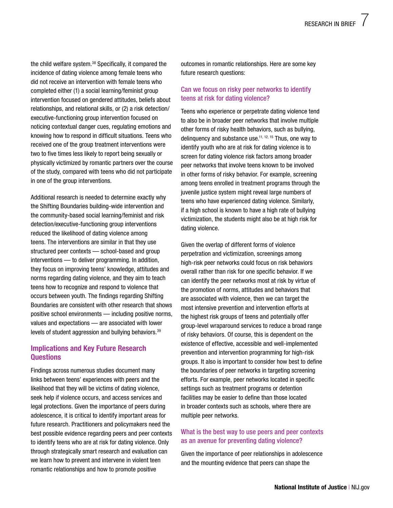the child welfare system.<sup>38</sup> Specifically, it compared the incidence of dating violence among female teens who did not receive an intervention with female teens who completed either (1) a social learning/feminist group intervention focused on gendered attitudes, beliefs about relationships, and relational skills, or (2) a risk detection/ executive-functioning group intervention focused on noticing contextual danger cues, regulating emotions and knowing how to respond in difficult situations. Teens who received one of the group treatment interventions were two to five times less likely to report being sexually or physically victimized by romantic partners over the course of the study, compared with teens who did not participate in one of the group interventions.

Additional research is needed to determine exactly why the Shifting Boundaries building-wide intervention and the community-based social learning/feminist and risk detection/executive-functioning group interventions reduced the likelihood of dating violence among teens. The interventions are similar in that they use structured peer contexts — school-based and group interventions — to deliver programming. In addition, they focus on improving teens' knowledge, attitudes and norms regarding dating violence, and they aim to teach teens how to recognize and respond to violence that occurs between youth. The findings regarding Shifting Boundaries are consistent with other research that shows positive school environments — including positive norms, values and expectations — are associated with lower levels of student aggression and bullying behaviors.<sup>39</sup>

#### Implications and Key Future Research **Questions**

Findings across numerous studies document many links between teens' experiences with peers and the likelihood that they will be victims of dating violence, seek help if violence occurs, and access services and legal protections. Given the importance of peers during adolescence, it is critical to identify important areas for future research. Practitioners and policymakers need the best possible evidence regarding peers and peer contexts to identify teens who are at risk for dating violence. Only through strategically smart research and evaluation can we learn how to prevent and intervene in violent teen romantic relationships and how to promote positive

outcomes in romantic relationships. Here are some key future research questions:

#### Can we focus on risky peer networks to identify teens at risk for dating violence?

Teens who experience or perpetrate dating violence tend to also be in broader peer networks that involve multiple other forms of risky health behaviors, such as bullying, delinquency and substance use.<sup>11, 12, 15</sup> Thus, one way to identify youth who are at risk for dating violence is to screen for dating violence risk factors among broader peer networks that involve teens known to be involved in other forms of risky behavior. For example, screening among teens enrolled in treatment programs through the juvenile justice system might reveal large numbers of teens who have experienced dating violence. Similarly, if a high school is known to have a high rate of bullying victimization, the students might also be at high risk for dating violence.

Given the overlap of different forms of violence perpetration and victimization, screenings among high-risk peer networks could focus on risk behaviors overall rather than risk for one specific behavior. If we can identify the peer networks most at risk by virtue of the promotion of norms, attitudes and behaviors that are associated with violence, then we can target the most intensive prevention and intervention efforts at the highest risk groups of teens and potentially offer group-level wraparound services to reduce a broad range of risky behaviors. Of course, this is dependent on the existence of effective, accessible and well-implemented prevention and intervention programming for high-risk groups. It also is important to consider how best to define the boundaries of peer networks in targeting screening efforts. For example, peer networks located in specific settings such as treatment programs or detention facilities may be easier to define than those located in broader contexts such as schools, where there are multiple peer networks.

#### What is the best way to use peers and peer contexts as an avenue for preventing dating violence?

Given the importance of peer relationships in adolescence and the mounting evidence that peers can shape the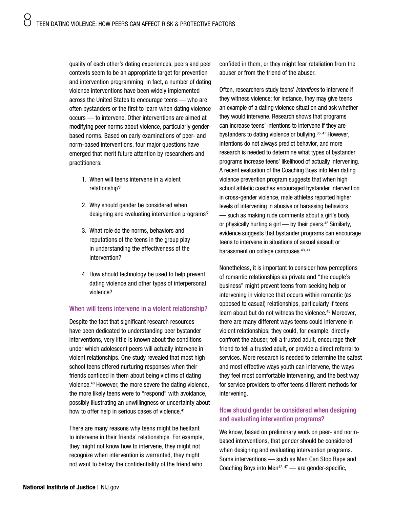quality of each other's dating experiences, peers and peer contexts seem to be an appropriate target for prevention and intervention programming. In fact, a number of dating violence interventions have been widely implemented across the United States to encourage teens — who are often bystanders or the first to learn when dating violence occurs — to intervene. Other interventions are aimed at modifying peer norms about violence, particularly genderbased norms. Based on early examinations of peer- and norm-based interventions, four major questions have emerged that merit future attention by researchers and practitioners:

- 1. When will teens intervene in a violent relationship?
- 2. Why should gender be considered when designing and evaluating intervention programs?
- 3. What role do the norms, behaviors and reputations of the teens in the group play in understanding the effectiveness of the intervention?
- 4. How should technology be used to help prevent dating violence and other types of interpersonal violence?

#### When will teens intervene in a violent relationship?

Despite the fact that significant research resources have been dedicated to understanding peer bystander interventions, very little is known about the conditions under which adolescent peers will actually intervene in violent relationships. One study revealed that most high school teens offered nurturing responses when their friends confided in them about being victims of dating violence.40 However, the more severe the dating violence, the more likely teens were to "respond" with avoidance, possibly illustrating an unwillingness or uncertainty about how to offer help in serious cases of violence.<sup>41</sup>

There are many reasons why teens might be hesitant to intervene in their friends' relationships. For example, they might not know how to intervene, they might not recognize when intervention is warranted, they might not want to betray the confidentiality of the friend who

abuser or from the friend of the abuser. confided in them, or they might fear retaliation from the

Often, researchers study teens' *intentions* to intervene if they witness violence; for instance, they may give teens an example of a dating violence situation and ask whether they would intervene. Research shows that programs can increase teens' intentions to intervene if they are bystanders to dating violence or bullying.35, 41 However, intentions do not always predict behavior, and more research is needed to determine what types of bystander programs increase teens' likelihood of actually intervening. A recent evaluation of the Coaching Boys into Men dating violence prevention program suggests that when high school athletic coaches encouraged bystander intervention in cross-gender violence, male athletes reported higher levels of intervening in abusive or harassing behaviors — such as making rude comments about a girl's body or physically hurting a girl  $-$  by their peers.<sup>42</sup> Similarly, evidence suggests that bystander programs can encourage teens to intervene in situations of sexual assault or harassment on college campuses.<sup>43, 44</sup>

Nonetheless, it is important to consider how perceptions of romantic relationships as private and "the couple's business" might prevent teens from seeking help or intervening in violence that occurs within romantic (as opposed to casual) relationships, particularly if teens learn about but do not witness the violence.45 Moreover, there are many different ways teens could intervene in violent relationships; they could, for example, directly confront the abuser, tell a trusted adult, encourage their friend to tell a trusted adult, or provide a direct referral to services. More research is needed to determine the safest and most effective ways youth can intervene, the ways they feel most comfortable intervening, and the best way for service providers to offer teens different methods for intervening.

#### How should gender be considered when designing and evaluating intervention programs?

We know, based on preliminary work on peer- and normbased interventions, that gender should be considered when designing and evaluating intervention programs. Some interventions — such as Men Can Stop Rape and Coaching Boys into Men<sup>42, 47</sup> — are gender-specific,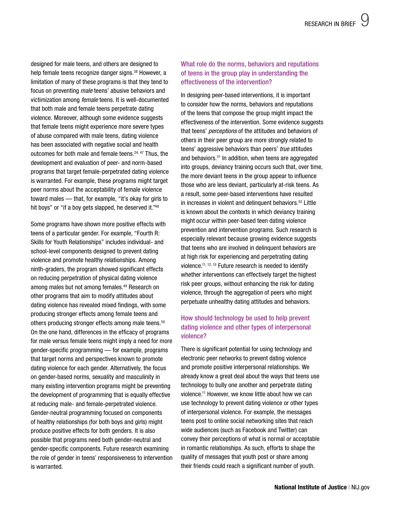designed for male teens, and others are designed to help female teens recognize danger signs.<sup>38</sup> However, a limitation of many of these programs is that they tend to focus on preventing *male* teens' abusive behaviors and victimization among *female* teens. It is well-documented that both male and female teens perpetrate dating violence. Moreover, although some evidence suggests that female teens might experience more severe types of abuse compared with male teens, dating violence has been associated with negative social and health outcomes for both male and female teens.<sup>24, 47</sup> Thus, the development and evaluation of peer- and norm-based programs that target female-perpetrated dating violence is warranted. For example, these programs might target peer norms about the acceptability of female violence toward males — that, for example, "it's okay for girls to hit boys" or "if a boy gets slapped, he deserved it."48

Some programs have shown more positive effects with teens of a particular gender. For example, "Fourth R: Skills for Youth Relationships" includes individual- and school-level components designed to prevent dating violence and promote healthy relationships. Among ninth-graders, the program showed significant effects on reducing perpetration of physical dating violence among males but not among females.<sup>49</sup> Research on other programs that aim to modify attitudes about dating violence has revealed mixed findings, with some producing stronger effects among female teens and others producing stronger effects among male teens.50 On the one hand, differences in the efficacy of programs for male versus female teens might imply a need for more gender-specific programming — for example, programs that target norms and perspectives known to promote dating violence for each gender. Alternatively, the focus on gender-based norms, sexuality and masculinity in many existing intervention programs might be preventing the development of programming that is equally effective at reducing male- and female-perpetrated violence. Gender-neutral programming focused on components of healthy relationships (for both boys and girls) might produce positive effects for both genders. It is also possible that programs need both gender-neutral and gender-specific components. Future research examining the role of gender in teens' responsiveness to intervention is warranted.

#### What role do the norms, behaviors and reputations of teens in the group play in understanding the effectiveness of the intervention?

In designing peer-based interventions, it is important to consider how the norms, behaviors and reputations of the teens that compose the group might impact the effectiveness of the intervention. Some evidence suggests that teens' *perceptions* of the attitudes and behaviors of others in their peer group are more strongly related to teens' aggressive behaviors than peers' *true* attitudes and behaviors.51 In addition, when teens are aggregated into groups, deviancy training occurs such that, over time, the more deviant teens in the group appear to influence those who are less deviant, particularly at-risk teens. As a result, some peer-based interventions have resulted in increases in violent and delinquent behaviors.52 Little is known about the contexts in which deviancy training might occur within peer-based teen dating violence prevention and intervention programs. Such research is especially relevant because growing evidence suggests that teens who are involved in delinquent behaviors are at high risk for experiencing and perpetrating dating violence.11, 12, 15 Future research is needed to identify whether interventions can effectively target the highest risk peer groups, without enhancing the risk for dating violence, through the aggregation of peers who might perpetuate unhealthy dating attitudes and behaviors.

#### How should technology be used to help prevent dating violence and other types of interpersonal violence?

There is significant potential for using technology and electronic peer networks to prevent dating violence and promote positive interpersonal relationships. We already know a great deal about the ways that teens use technology to bully one another and perpetrate dating violence.11 However, we know little about how we can use technology to prevent dating violence or other types of interpersonal violence. For example, the messages teens post to online social networking sites that reach wide audiences (such as Facebook and Twitter) can convey their perceptions of what is normal or acceptable in romantic relationships. As such, efforts to shape the quality of messages that youth post or share among their friends could reach a significant number of youth.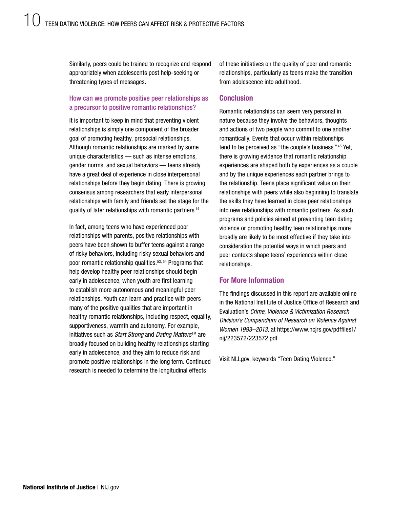Similarly, peers could be trained to recognize and respond appropriately when adolescents post help-seeking or threatening types of messages.

#### How can we promote positive peer relationships as a precursor to positive romantic relationships?

It is important to keep in mind that preventing violent relationships is simply one component of the broader goal of promoting healthy, prosocial relationships. Although romantic relationships are marked by some unique characteristics — such as intense emotions, gender norms, and sexual behaviors — teens already have a great deal of experience in close interpersonal relationships before they begin dating. There is growing consensus among researchers that early interpersonal relationships with family and friends set the stage for the quality of later relationships with romantic partners.14

In fact, among teens who have experienced poor relationships with parents, positive relationships with peers have been shown to buffer teens against a range of risky behaviors, including risky sexual behaviors and poor romantic relationship qualities.53, 54 Programs that help develop healthy peer relationships should begin early in adolescence, when youth are first learning to establish more autonomous and meaningful peer relationships. Youth can learn and practice with peers many of the positive qualities that are important in healthy romantic relationships, including respect, equality, supportiveness, warmth and autonomy. For example, initiatives such as *Start Strong* and *Dating Matters*™ are broadly focused on building healthy relationships starting early in adolescence, and they aim to reduce risk and promote positive relationships in the long term. Continued research is needed to determine the longitudinal effects

of these initiatives on the quality of peer and romantic relationships, particularly as teens make the transition from adolescence into adulthood.

#### **Conclusion**

Romantic relationships can seem very personal in nature because they involve the behaviors, thoughts and actions of two people who commit to one another romantically. Events that occur within relationships tend to be perceived as "the couple's business."45 Yet, there is growing evidence that romantic relationship experiences are shaped both by experiences as a couple and by the unique experiences each partner brings to the relationship. Teens place significant value on their relationships with peers while also beginning to translate the skills they have learned in close peer relationships into new relationships with romantic partners. As such, programs and policies aimed at preventing teen dating violence or promoting healthy teen relationships more broadly are likely to be most effective if they take into consideration the potential ways in which peers and peer contexts shape teens' experiences within close relationships.

#### For More Information

The findings discussed in this report are available online in the National Institute of Justice Office of Research and Evaluation's *Crime, Violence & Victimization Research Division's Compendium of Research on Violence Against Women 1993–2013,* at [https://www.ncjrs.gov/pdffiles1/](https://www.ncjrs.gov/pdffiles1/nij/223572/223572.pdf)  [nij/223572/223572.pdf](https://www.ncjrs.gov/pdffiles1/nij/223572/223572.pdf).

Visit [NIJ.gov](http://www.nij.gov), keywords "Teen Dating Violence."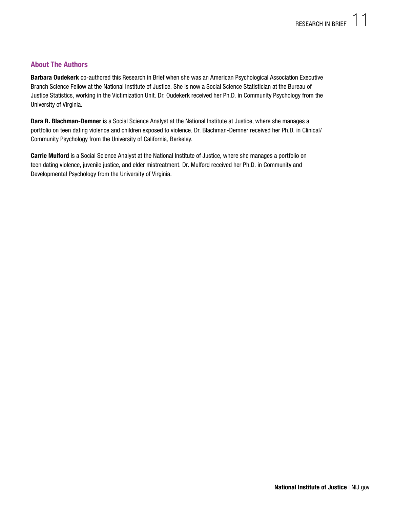#### About The Authors

Barbara Oudekerk co-authored this Research in Brief when she was an American Psychological Association Executive Branch Science Fellow at the National Institute of Justice. She is now a Social Science Statistician at the Bureau of Justice Statistics, working in the Victimization Unit. Dr. Oudekerk received her Ph.D. in Community Psychology from the University of Virginia.

Dara R. Blachman-Demner is a Social Science Analyst at the National Institute at Justice, where she manages a portfolio on teen dating violence and children exposed to violence. Dr. Blachman-Demner received her Ph.D. in Clinical/ Community Psychology from the University of California, Berkeley.

Carrie Mulford is a Social Science Analyst at the National Institute of Justice, where she manages a portfolio on teen dating violence, juvenile justice, and elder mistreatment. Dr. Mulford received her Ph.D. in Community and Developmental Psychology from the University of Virginia.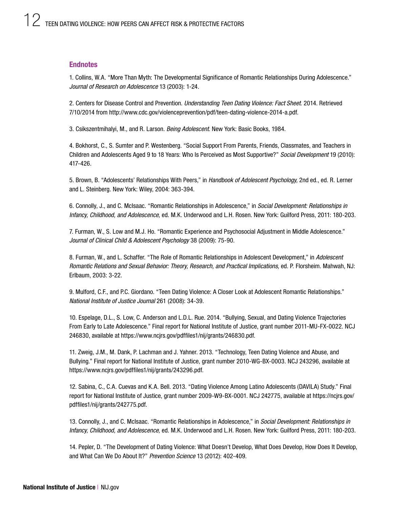#### Endnotes

1. Collins, W.A. "More Than Myth: The Developmental Significance of Romantic Relationships During Adolescence." *Journal of Research on Adolescence* 13 (2003): 1-24.

2. Centers for Disease Control and Prevention. *Understanding Teen Dating Violence: Fact Sheet.* 2014. Retrieved 7/10/2014 from [http://www.cdc.gov/violenceprevention/pdf/teen-dating-violence-2014-a.pdf.](http://www.cdc.gov/violenceprevention/pdf/teen-dating-violence-2014-a.pdf)

3. Csikszentmihalyi, M., and R. Larson. *Being Adolescent.* New York: Basic Books, 1984.

4. Bokhorst, C., S. Sumter and P. Westenberg. "Social Support From Parents, Friends, Classmates, and Teachers in Children and Adolescents Aged 9 to 18 Years: Who Is Perceived as Most Supportive?" *Social Development* 19 (2010): 417-426.

5. Brown, B. "Adolescents' Relationships With Peers," in *Handbook of Adolescent Psychology,* 2nd ed., ed. R. Lerner and L. Steinberg. New York: Wiley, 2004: 363-394.

6. Connolly, J., and C. McIsaac. "Romantic Relationships in Adolescence," in *Social Development: Relationships in Infancy, Childhood, and Adolescence,* ed. M.K. Underwood and L.H. Rosen. New York: Guilford Press, 2011: 180-203.

7. Furman, W., S. Low and M.J. Ho. "Romantic Experience and Psychosocial Adjustment in Middle Adolescence." *Journal of Clinical Child & Adolescent Psychology* 38 (2009): 75-90.

8. Furman, W., and L. Schaffer. "The Role of Romantic Relationships in Adolescent Development," in *Adolescent Romantic Relations and Sexual Behavior: Theory, Research, and Practical Implications,* ed. P. Florsheim. Mahwah, NJ: Erlbaum, 2003: 3-22.

9. Mulford, C.F., and P.C. Giordano. "Teen Dating Violence: A Closer Look at Adolescent Romantic Relationships." *National Institute of Justice Journal* 261 (2008): 34-39.

10. Espelage, D.L., S. Low, C. Anderson and L.D.L. Rue. 2014. "Bullying, Sexual, and Dating Violence Trajectories From Early to Late Adolescence." Final report for National Institute of Justice, grant number 2011-MU-FX-0022. NCJ 246830, available at [https://www.ncjrs.gov/pdffiles1/nij/grants/246830.pdf.](https://www.ncjrs.gov/pdffiles1/nij/grants/246830.pdf)

11. Zweig, J.M., M. Dank, P. Lachman and J. Yahner. 2013. "Technology, Teen Dating Violence and Abuse, and Bullying." Final report for National Institute of Justice, grant number 2010-WG-BX-0003. NCJ 243296, available at [https://www.ncjrs.gov/pdffiles1/nij/grants/243296.pdf.](https://www.ncjrs.gov/pdffiles1/nij/grants/243296.pdf)

12. Sabina, C., C.A. Cuevas and K.A. Bell. 2013. "Dating Violence Among Latino Adolescents (DAVILA) Study." Final report for National Institute of Justice, grant number 2009-W9-BX-0001. NCJ 242775, available at [https://ncjrs.gov/](https://ncjrs.gov/pdffiles1/nij/grants/242775.pdf) [pdffiles1/nij/grants/242775.pdf.](https://ncjrs.gov/pdffiles1/nij/grants/242775.pdf)

13. Connolly, J., and C. McIsaac. "Romantic Relationships in Adolescence," in *Social Development: Relationships in Infancy, Childhood, and Adolescence,* ed. M.K. Underwood and L.H. Rosen. New York: Guilford Press, 2011: 180-203.

14. Pepler, D. "The Development of Dating Violence: What Doesn't Develop, What Does Develop, How Does It Develop, and What Can We Do About It?" *Prevention Science* 13 (2012): 402-409.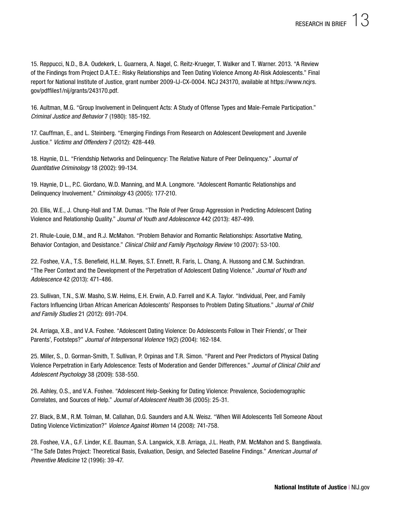15. Reppucci, N.D., B.A. Oudekerk, L. Guarnera, A. Nagel, C. Reitz-Krueger, T. Walker and T. Warner. 2013. "A Review of the Findings from Project D.A.T.E.: Risky Relationships and Teen Dating Violence Among At-Risk Adolescents." Final report for National Institute of Justice, grant number 2009-IJ-CX-0004. NCJ 243170, available at [https://www.ncjrs.](https://www.ncjrs.gov/pdffiles1/nij/grants/243170.pdf) [gov/pdffiles1/nij/grants/243170.pdf](https://www.ncjrs.gov/pdffiles1/nij/grants/243170.pdf).

16. Aultman, M.G. "Group Involvement in Delinquent Acts: A Study of Offense Types and Male-Female Participation." *Criminal Justice and Behavior* 7 (1980): 185-192.

17. Cauffman, E., and L. Steinberg. "Emerging Findings From Research on Adolescent Development and Juvenile Justice." *Victims and Offenders* 7 (2012): 428-449.

18. Haynie, D.L. "Friendship Networks and Delinquency: The Relative Nature of Peer Delinquency." *Journal of Quantitative Criminology* 18 (2002): 99-134.

19. Haynie, D L., P.C. Giordano, W.D. Manning, and M.A. Longmore. "Adolescent Romantic Relationships and Delinquency Involvement." *Criminology* 43 (2005): 177-210.

20. Ellis, W.E., J. Chung-Hall and T.M. Dumas. "The Role of Peer Group Aggression in Predicting Adolescent Dating Violence and Relationship Quality." *Journal of Youth and Adolescence* 442 (2013): 487-499.

21. Rhule-Louie, D.M., and R.J. McMahon. "Problem Behavior and Romantic Relationships: Assortative Mating, Behavior Contagion, and Desistance." *Clinical Child and Family Psychology Review* 10 (2007): 53-100.

22. Foshee, V.A., T.S. Benefield, H.L.M. Reyes, S.T. Ennett, R. Faris, L. Chang, A. Hussong and C.M. Suchindran. "The Peer Context and the Development of the Perpetration of Adolescent Dating Violence." *Journal of Youth and Adolescence* 42 (2013): 471-486.

23. Sullivan, T.N., S.W. Masho, S.W. Helms, E.H. Erwin, A.D. Farrell and K.A. Taylor. "Individual, Peer, and Family Factors Influencing Urban African American Adolescents' Responses to Problem Dating Situations." *Journal of Child and Family Studies* 21 (2012): 691-704.

24. Arriaga, X.B., and V.A. Foshee. "Adolescent Dating Violence: Do Adolescents Follow in Their Friends', or Their Parents', Footsteps?" *Journal of Interpersonal Violence* 19(2) (2004): 162-184.

25. Miller, S., D. Gorman-Smith, T. Sullivan, P. Orpinas and T.R. Simon. "Parent and Peer Predictors of Physical Dating Violence Perpetration in Early Adolescence: Tests of Moderation and Gender Differences." *Journal of Clinical Child and Adolescent Psychology* 38 (2009): 538-550.

26. Ashley, O.S., and V.A. Foshee. "Adolescent Help-Seeking for Dating Violence: Prevalence, Sociodemographic Correlates, and Sources of Help." *Journal of Adolescent Health* 36 (2005): 25-31.

27. Black, B.M., R.M. Tolman, M. Callahan, D.G. Saunders and A.N. Weisz. "When Will Adolescents Tell Someone About Dating Violence Victimization?" *Violence Against Women* 14 (2008): 741-758.

28. Foshee, V.A., G.F. Linder, K.E. Bauman, S.A. Langwick, X.B. Arriaga, J.L. Heath, P.M. McMahon and S. Bangdiwala. "The Safe Dates Project: Theoretical Basis, Evaluation, Design, and Selected Baseline Findings." *American Journal of Preventive Medicine* 12 (1996): 39-47.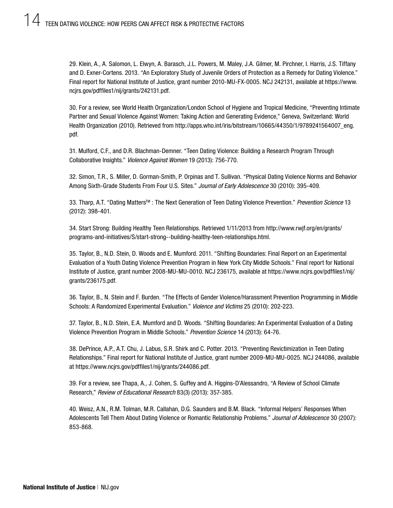29. Klein, A., A. Salomon, L. Elwyn, A. Barasch, J.L. Powers, M. Maley, J.A. Gilmer, M. Pirchner, I. Harris, J.S. Tiffany and D. Exner-Cortens. 2013. "An Exploratory Study of Juvenile Orders of Protection as a Remedy for Dating Violence." Final report for National Institute of Justice, grant number 2010-MU-FX-0005. NCJ 242131, available at [https://www.](https://www.ncjrs.gov/pdffiles1/nij/grants/242131.pdf)  [ncjrs.gov/pdffiles1/nij/grants/242131.pdf.](https://www.ncjrs.gov/pdffiles1/nij/grants/242131.pdf)

30. For a review, see World Health Organization/London School of Hygiene and Tropical Medicine, "Preventing Intimate Partner and Sexual Violence Against Women: Taking Action and Generating Evidence," Geneva, Switzerland: World Health Organization (2010). Retrieved from [http://apps.who.int/iris/bitstream/10665/44350/1/9789241564007\\_eng.](http://apps.who.int/iris/bitstream/10665/44350/1/9789241564007_eng.pdf) [pdf](http://apps.who.int/iris/bitstream/10665/44350/1/9789241564007_eng.pdf).

31. Mulford, C.F., and D.R. Blachman-Demner. "Teen Dating Violence: Building a Research Program Through Collaborative Insights." *Violence Against Women* 19 (2013): 756-770.

32. Simon, T.R., S. Miller, D. Gorman-Smith, P. Orpinas and T. Sullivan. "Physical Dating Violence Norms and Behavior Among Sixth-Grade Students From Four U.S. Sites." *Journal of Early Adolescence* 30 (2010): 395-409.

33. Tharp, A.T. "Dating MattersTM : The Next Generation of Teen Dating Violence Prevention." *Prevention Science* 13 (2012): 398-401.

34. Start Strong: Building Healthy Teen Relationships. Retrieved 1/11/2013 from [http://www.rwjf.org/en/grants/](http://www.rwjf.org/en/grants/programs-and-initiatives/S/start-strong--building-healthy-teen-relationships.html)  [programs-and-initiatives/S/start-strong--building-healthy-teen-relationships.html.](http://www.rwjf.org/en/grants/programs-and-initiatives/S/start-strong--building-healthy-teen-relationships.html)

35. Taylor, B., N.D. Stein, D. Woods and E. Mumford. 2011. "Shifting Boundaries: Final Report on an Experimental Evaluation of a Youth Dating Violence Prevention Program in New York City Middle Schools." Final report for National Institute of Justice, grant number 2008-MU-MU-0010. NCJ 236175, available at [https://www.ncjrs.gov/pdffiles1/nij/](https://www.ncjrs.gov/pdffiles1/nij/grants/236175.pdf)  [grants/236175.pdf](https://www.ncjrs.gov/pdffiles1/nij/grants/236175.pdf).

36. Taylor, B., N. Stein and F. Burden. "The Effects of Gender Violence/Harassment Prevention Programming in Middle Schools: A Randomized Experimental Evaluation." *Violence and Victims* 25 (2010): 202-223.

37. Taylor, B., N.D. Stein, E.A. Mumford and D. Woods. "Shifting Boundaries: An Experimental Evaluation of a Dating Violence Prevention Program in Middle Schools." *Prevention Science* 14 (2013): 64-76.

38. DePrince, A.P., A.T. Chu, J. Labus, S.R. Shirk and C. Potter. 2013. "Preventing Revictimization in Teen Dating Relationships." Final report for National Institute of Justice, grant number 2009-MU-MU-0025. NCJ 244086, available at [https://www.ncjrs.gov/pdffiles1/nij/grants/244086.pdf.](https://www.ncjrs.gov/pdffiles1/nij/grants/244086.pdf)

39. For a review, see Thapa, A., J. Cohen, S. Guffey and A. Higgins-D'Alessandro, "A Review of School Climate Research," *Review of Educational Research* 83(3) (2013): 357-385.

40. Weisz, A.N., R.M. Tolman, M.R. Callahan, D.G. Saunders and B.M. Black. "Informal Helpers' Responses When Adolescents Tell Them About Dating Violence or Romantic Relationship Problems." *Journal of Adolescence* 30 (2007): 853-868.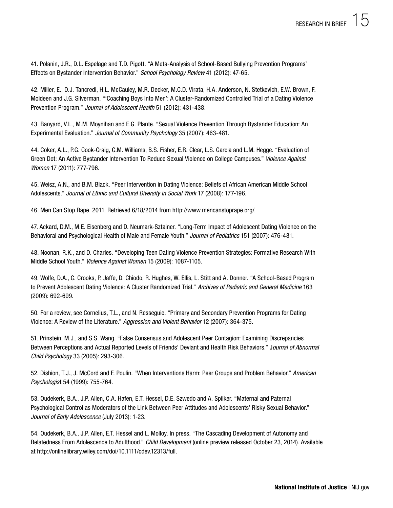41. Polanin, J.R., D.L. Espelage and T.D. Pigott. "A Meta-Analysis of School-Based Bullying Prevention Programs' Effects on Bystander Intervention Behavior." *School Psychology Review* 41 (2012): 47-65.

42. Miller, E., D.J. Tancredi, H.L. McCauley, M.R. Decker, M.C.D. Virata, H.A. Anderson, N. Stetkevich, E.W. Brown, F. Moideen and J.G. Silverman. "'Coaching Boys Into Men': A Cluster-Randomized Controlled Trial of a Dating Violence Prevention Program." *Journal of Adolescent Health* 51 (2012): 431-438.

43. Banyard, V.L., M.M. Moynihan and E.G. Plante. "Sexual Violence Prevention Through Bystander Education: An Experimental Evaluation." *Journal of Community Psychology* 35 (2007): 463-481.

44. Coker, A.L., P.G. Cook-Craig, C.M. Williams, B.S. Fisher, E.R. Clear, L.S. Garcia and L.M. Hegge. "Evaluation of Green Dot: An Active Bystander Intervention To Reduce Sexual Violence on College Campuses." *Violence Against Women* 17 (2011): 777-796.

45. Weisz, A.N., and B.M. Black. "Peer Intervention in Dating Violence: Beliefs of African American Middle School Adolescents." *Journal of Ethnic and Cultural Diversity in Social Work* 17 (2008): 177-196.

46. Men Can Stop Rape. 2011. Retrieved 6/18/2014 from [http://www.mencanstoprape.org/](http://www.mencanstoprape.org).

47. Ackard, D.M., M.E. Eisenberg and D. Neumark-Sztainer. "Long-Term Impact of Adolescent Dating Violence on the Behavioral and Psychological Health of Male and Female Youth." *Journal of Pediatrics* 151 (2007): 476-481.

48. Noonan, R.K., and D. Charles. "Developing Teen Dating Violence Prevention Strategies: Formative Research With Middle School Youth." *Violence Against Women* 15 (2009): 1087-1105.

49. Wolfe, D.A., C. Crooks, P. Jaffe, D. Chiodo, R. Hughes, W. Ellis, L. Stitt and A. Donner. "A School-Based Program to Prevent Adolescent Dating Violence: A Cluster Randomized Trial." *Archives of Pediatric and General Medicine* 163 (2009): 692-699.

50. For a review, see Cornelius, T.L., and N. Resseguie. "Primary and Secondary Prevention Programs for Dating Violence: A Review of the Literature." *Aggression and Violent Behavior* 12 (2007): 364-375.

51. Prinstein, M.J., and S.S. Wang. "False Consensus and Adolescent Peer Contagion: Examining Discrepancies Between Perceptions and Actual Reported Levels of Friends' Deviant and Health Risk Behaviors." J*ournal of Abnormal Child Psychology* 33 (2005): 293-306.

52. Dishion, T.J., J. McCord and F. Poulin. "When Interventions Harm: Peer Groups and Problem Behavior." *American Psychologis*t 54 (1999): 755-764.

53. Oudekerk, B.A., J.P. Allen, C.A. Hafen, E.T. Hessel, D.E. Szwedo and A. Spilker. "Maternal and Paternal Psychological Control as Moderators of the Link Between Peer Attitudes and Adolescents' Risky Sexual Behavior." *Journal of Early Adolescence* (July 2013): 1-23.

54. Oudekerk, B.A., J.P. Allen, E.T. Hessel and L. Molloy. In press. "The Cascading Development of Autonomy and Relatedness From Adolescence to Adulthood." *Child Development* (online preview released October 23, 2014). Available at [http://onlinelibrary.wiley.com/doi/10.1111/cdev.12313/full.](http://onlinelibrary.wiley.com/doi/10.1111/cdev.12313/full)